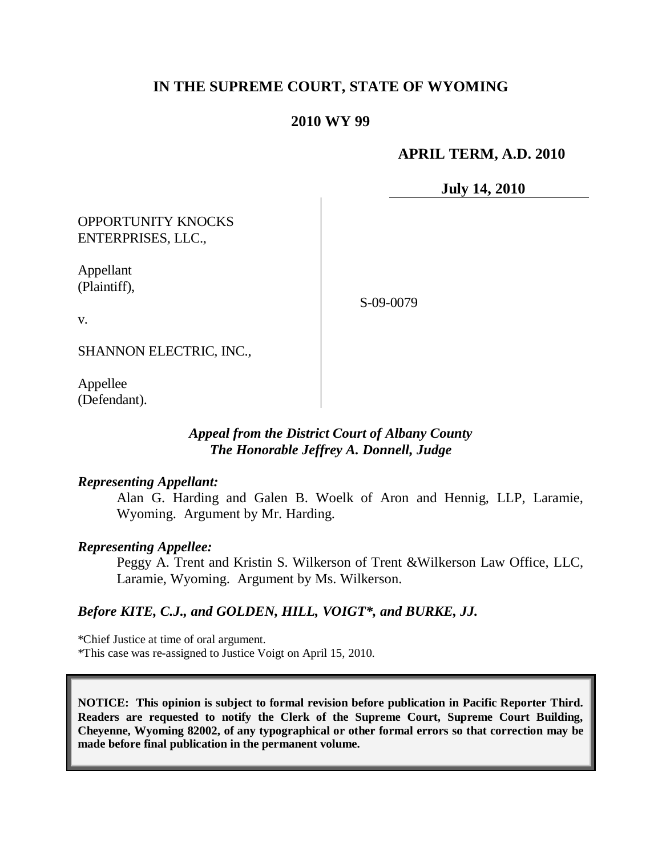# **IN THE SUPREME COURT, STATE OF WYOMING**

## **2010 WY 99**

## **APRIL TERM, A.D. 2010**

**July 14, 2010**

OPPORTUNITY KNOCKS ENTERPRISES, LLC.,

Appellant (Plaintiff),

S-09-0079

v.

SHANNON ELECTRIC, INC.,

Appellee (Defendant).

### *Appeal from the District Court of Albany County The Honorable Jeffrey A. Donnell, Judge*

#### *Representing Appellant:*

Alan G. Harding and Galen B. Woelk of Aron and Hennig, LLP, Laramie, Wyoming. Argument by Mr. Harding.

#### *Representing Appellee:*

Peggy A. Trent and Kristin S. Wilkerson of Trent &Wilkerson Law Office, LLC, Laramie, Wyoming. Argument by Ms. Wilkerson.

### *Before KITE, C.J., and GOLDEN, HILL, VOIGT\*, and BURKE, JJ.*

\*Chief Justice at time of oral argument. \*This case was re-assigned to Justice Voigt on April 15, 2010.

**NOTICE: This opinion is subject to formal revision before publication in Pacific Reporter Third. Readers are requested to notify the Clerk of the Supreme Court, Supreme Court Building, Cheyenne, Wyoming 82002, of any typographical or other formal errors so that correction may be made before final publication in the permanent volume.**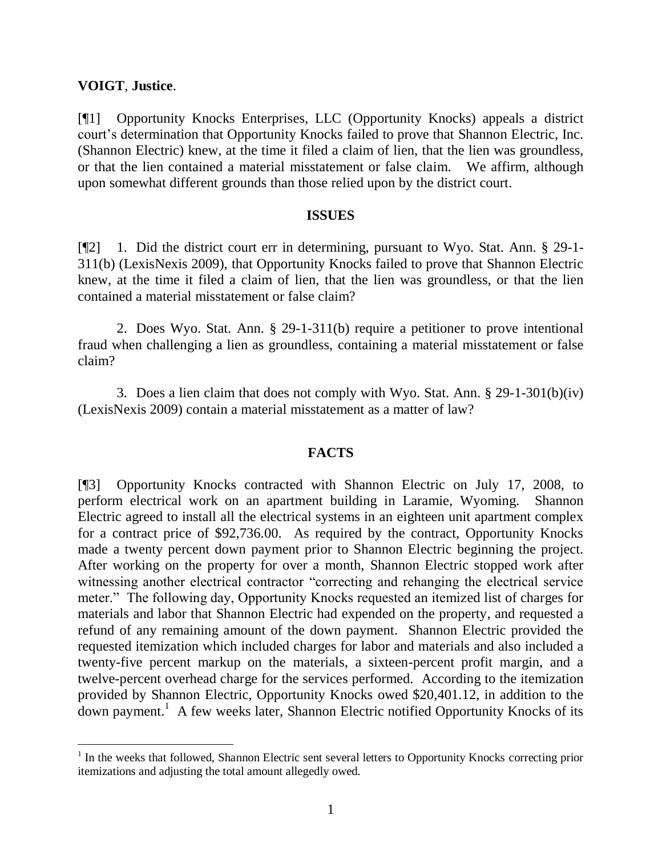### **VOIGT**, **Justice**.

[¶1] Opportunity Knocks Enterprises, LLC (Opportunity Knocks) appeals a district court's determination that Opportunity Knocks failed to prove that Shannon Electric, Inc. (Shannon Electric) knew, at the time it filed a claim of lien, that the lien was groundless, or that the lien contained a material misstatement or false claim. We affirm, although upon somewhat different grounds than those relied upon by the district court.

#### **ISSUES**

[¶2] 1. Did the district court err in determining, pursuant to Wyo. Stat. Ann. § 29-1- 311(b) (LexisNexis 2009), that Opportunity Knocks failed to prove that Shannon Electric knew, at the time it filed a claim of lien, that the lien was groundless, or that the lien contained a material misstatement or false claim?

2. Does Wyo. Stat. Ann. § 29-1-311(b) require a petitioner to prove intentional fraud when challenging a lien as groundless, containing a material misstatement or false claim?

3. Does a lien claim that does not comply with Wyo. Stat. Ann. § 29-1-301(b)(iv) (LexisNexis 2009) contain a material misstatement as a matter of law?

### **FACTS**

[¶3] Opportunity Knocks contracted with Shannon Electric on July 17, 2008, to perform electrical work on an apartment building in Laramie, Wyoming. Shannon Electric agreed to install all the electrical systems in an eighteen unit apartment complex for a contract price of \$92,736.00. As required by the contract, Opportunity Knocks made a twenty percent down payment prior to Shannon Electric beginning the project. After working on the property for over a month, Shannon Electric stopped work after witnessing another electrical contractor "correcting and rehanging the electrical service meter." The following day, Opportunity Knocks requested an itemized list of charges for materials and labor that Shannon Electric had expended on the property, and requested a refund of any remaining amount of the down payment. Shannon Electric provided the requested itemization which included charges for labor and materials and also included a twenty-five percent markup on the materials, a sixteen-percent profit margin, and a twelve-percent overhead charge for the services performed. According to the itemization provided by Shannon Electric, Opportunity Knocks owed \$20,401.12, in addition to the down payment.<sup>1</sup> A few weeks later, Shannon Electric notified Opportunity Knocks of its

<sup>&</sup>lt;sup>1</sup> In the weeks that followed, Shannon Electric sent several letters to Opportunity Knocks correcting prior itemizations and adjusting the total amount allegedly owed.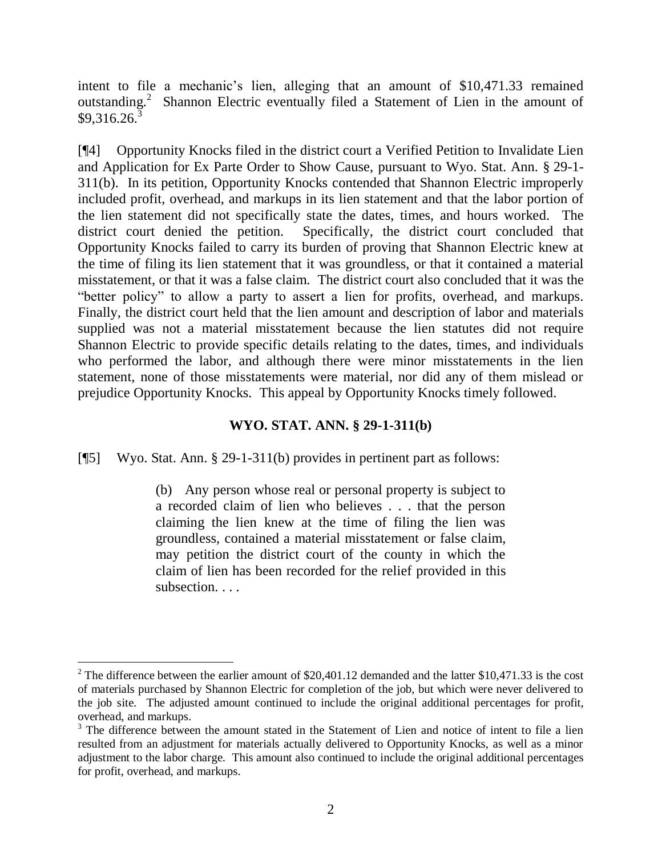intent to file a mechanic's lien, alleging that an amount of \$10,471.33 remained outstanding.<sup>2</sup> Shannon Electric eventually filed a Statement of Lien in the amount of  $$9,316.26.<sup>3</sup>$ 

[¶4] Opportunity Knocks filed in the district court a Verified Petition to Invalidate Lien and Application for Ex Parte Order to Show Cause, pursuant to Wyo. Stat. Ann. § 29-1- 311(b). In its petition, Opportunity Knocks contended that Shannon Electric improperly included profit, overhead, and markups in its lien statement and that the labor portion of the lien statement did not specifically state the dates, times, and hours worked. The district court denied the petition. Specifically, the district court concluded that Opportunity Knocks failed to carry its burden of proving that Shannon Electric knew at the time of filing its lien statement that it was groundless, or that it contained a material misstatement, or that it was a false claim. The district court also concluded that it was the "better policy" to allow a party to assert a lien for profits, overhead, and markups. Finally, the district court held that the lien amount and description of labor and materials supplied was not a material misstatement because the lien statutes did not require Shannon Electric to provide specific details relating to the dates, times, and individuals who performed the labor, and although there were minor misstatements in the lien statement, none of those misstatements were material, nor did any of them mislead or prejudice Opportunity Knocks. This appeal by Opportunity Knocks timely followed.

## **WYO. STAT. ANN. § 29-1-311(b)**

[¶5] Wyo. Stat. Ann. § 29-1-311(b) provides in pertinent part as follows:

 $\overline{a}$ 

(b) Any person whose real or personal property is subject to a recorded claim of lien who believes . . . that the person claiming the lien knew at the time of filing the lien was groundless, contained a material misstatement or false claim, may petition the district court of the county in which the claim of lien has been recorded for the relief provided in this subsection. . . .

 $2$  The difference between the earlier amount of \$20,401.12 demanded and the latter \$10,471.33 is the cost of materials purchased by Shannon Electric for completion of the job, but which were never delivered to the job site. The adjusted amount continued to include the original additional percentages for profit, overhead, and markups.

<sup>&</sup>lt;sup>3</sup> The difference between the amount stated in the Statement of Lien and notice of intent to file a lien resulted from an adjustment for materials actually delivered to Opportunity Knocks, as well as a minor adjustment to the labor charge. This amount also continued to include the original additional percentages for profit, overhead, and markups.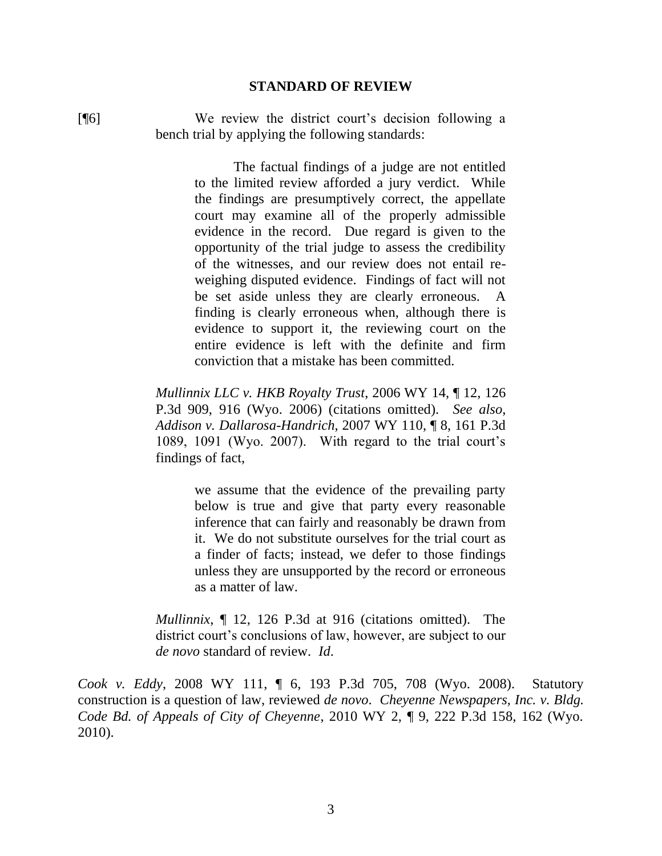#### **STANDARD OF REVIEW**

[¶6] We review the district court's decision following a bench trial by applying the following standards:

> The factual findings of a judge are not entitled to the limited review afforded a jury verdict. While the findings are presumptively correct, the appellate court may examine all of the properly admissible evidence in the record. Due regard is given to the opportunity of the trial judge to assess the credibility of the witnesses, and our review does not entail reweighing disputed evidence. Findings of fact will not be set aside unless they are clearly erroneous. A finding is clearly erroneous when, although there is evidence to support it, the reviewing court on the entire evidence is left with the definite and firm conviction that a mistake has been committed.

*Mullinnix LLC v. HKB Royalty Trust*, 2006 WY 14, ¶ 12, 126 P.3d 909, 916 (Wyo. 2006) (citations omitted). *See also*, *Addison v. Dallarosa-Handrich*, 2007 WY 110, ¶ 8, 161 P.3d 1089, 1091 (Wyo. 2007). With regard to the trial court's findings of fact,

> we assume that the evidence of the prevailing party below is true and give that party every reasonable inference that can fairly and reasonably be drawn from it. We do not substitute ourselves for the trial court as a finder of facts; instead, we defer to those findings unless they are unsupported by the record or erroneous as a matter of law.

*Mullinnix*, ¶ 12, 126 P.3d at 916 (citations omitted). The district court's conclusions of law, however, are subject to our *de novo* standard of review. *Id*.

*Cook v. Eddy*, 2008 WY 111, ¶ 6, 193 P.3d 705, 708 (Wyo. 2008). Statutory construction is a question of law, reviewed *de novo*. *Cheyenne Newspapers, Inc. v. Bldg. Code Bd. of Appeals of City of Cheyenne*, 2010 WY 2, ¶ 9, 222 P.3d 158, 162 (Wyo. 2010).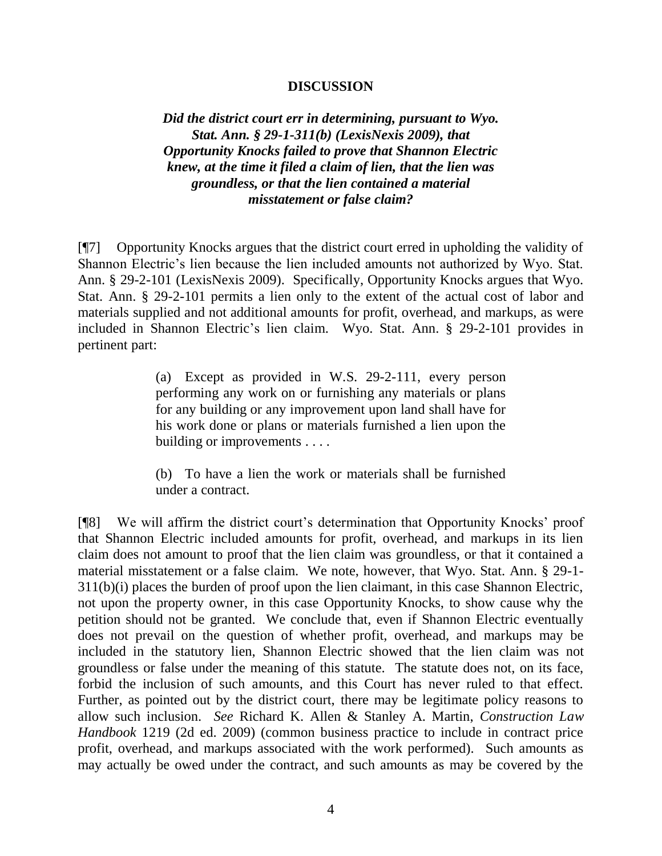### **DISCUSSION**

*Did the district court err in determining, pursuant to Wyo. Stat. Ann. § 29-1-311(b) (LexisNexis 2009), that Opportunity Knocks failed to prove that Shannon Electric knew, at the time it filed a claim of lien, that the lien was groundless, or that the lien contained a material misstatement or false claim?*

[¶7] Opportunity Knocks argues that the district court erred in upholding the validity of Shannon Electric's lien because the lien included amounts not authorized by Wyo. Stat. Ann. § 29-2-101 (LexisNexis 2009). Specifically, Opportunity Knocks argues that Wyo. Stat. Ann. § 29-2-101 permits a lien only to the extent of the actual cost of labor and materials supplied and not additional amounts for profit, overhead, and markups, as were included in Shannon Electric's lien claim. Wyo. Stat. Ann. § 29-2-101 provides in pertinent part:

> (a) Except as provided in W.S. 29-2-111, every person performing any work on or furnishing any materials or plans for any building or any improvement upon land shall have for his work done or plans or materials furnished a lien upon the building or improvements . . . .

> (b) To have a lien the work or materials shall be furnished under a contract.

[¶8] We will affirm the district court's determination that Opportunity Knocks' proof that Shannon Electric included amounts for profit, overhead, and markups in its lien claim does not amount to proof that the lien claim was groundless, or that it contained a material misstatement or a false claim. We note, however, that Wyo. Stat. Ann. § 29-1- 311(b)(i) places the burden of proof upon the lien claimant, in this case Shannon Electric, not upon the property owner, in this case Opportunity Knocks, to show cause why the petition should not be granted. We conclude that, even if Shannon Electric eventually does not prevail on the question of whether profit, overhead, and markups may be included in the statutory lien, Shannon Electric showed that the lien claim was not groundless or false under the meaning of this statute. The statute does not, on its face, forbid the inclusion of such amounts, and this Court has never ruled to that effect. Further, as pointed out by the district court, there may be legitimate policy reasons to allow such inclusion. *See* Richard K. Allen & Stanley A. Martin, *Construction Law Handbook* 1219 (2d ed. 2009) (common business practice to include in contract price profit, overhead, and markups associated with the work performed). Such amounts as may actually be owed under the contract, and such amounts as may be covered by the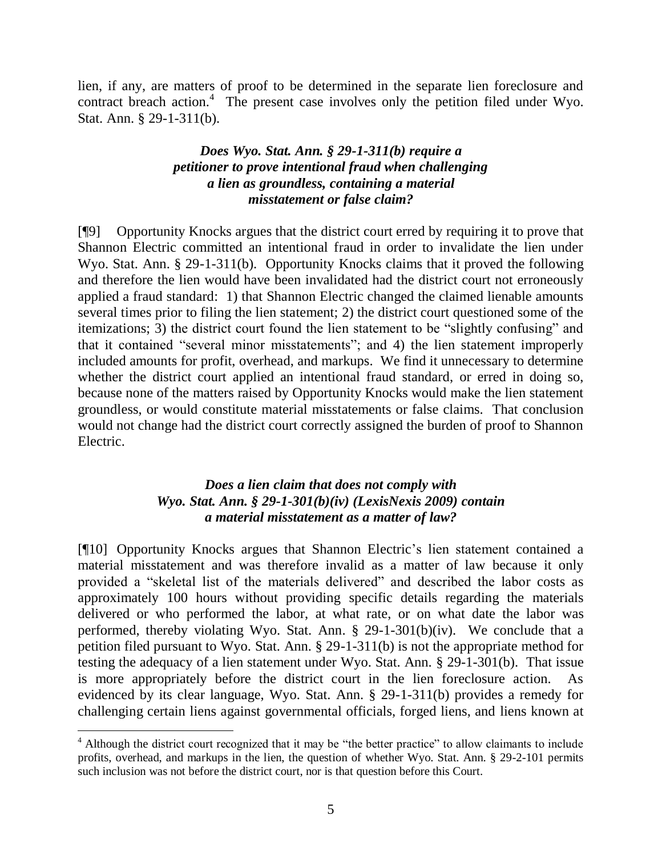lien, if any, are matters of proof to be determined in the separate lien foreclosure and contract breach action.<sup>4</sup> The present case involves only the petition filed under Wyo. Stat. Ann. § 29-1-311(b).

## *Does Wyo. Stat. Ann. § 29-1-311(b) require a petitioner to prove intentional fraud when challenging a lien as groundless, containing a material misstatement or false claim?*

[¶9] Opportunity Knocks argues that the district court erred by requiring it to prove that Shannon Electric committed an intentional fraud in order to invalidate the lien under Wyo. Stat. Ann. § 29-1-311(b). Opportunity Knocks claims that it proved the following and therefore the lien would have been invalidated had the district court not erroneously applied a fraud standard: 1) that Shannon Electric changed the claimed lienable amounts several times prior to filing the lien statement; 2) the district court questioned some of the itemizations; 3) the district court found the lien statement to be "slightly confusing" and that it contained "several minor misstatements"; and 4) the lien statement improperly included amounts for profit, overhead, and markups. We find it unnecessary to determine whether the district court applied an intentional fraud standard, or erred in doing so, because none of the matters raised by Opportunity Knocks would make the lien statement groundless, or would constitute material misstatements or false claims. That conclusion would not change had the district court correctly assigned the burden of proof to Shannon Electric.

# *Does a lien claim that does not comply with Wyo. Stat. Ann. § 29-1-301(b)(iv) (LexisNexis 2009) contain a material misstatement as a matter of law?*

[¶10] Opportunity Knocks argues that Shannon Electric's lien statement contained a material misstatement and was therefore invalid as a matter of law because it only provided a "skeletal list of the materials delivered" and described the labor costs as approximately 100 hours without providing specific details regarding the materials delivered or who performed the labor, at what rate, or on what date the labor was performed, thereby violating Wyo. Stat. Ann. § 29-1-301(b)(iv). We conclude that a petition filed pursuant to Wyo. Stat. Ann. § 29-1-311(b) is not the appropriate method for testing the adequacy of a lien statement under Wyo. Stat. Ann. § 29-1-301(b). That issue is more appropriately before the district court in the lien foreclosure action. As evidenced by its clear language, Wyo. Stat. Ann. § 29-1-311(b) provides a remedy for challenging certain liens against governmental officials, forged liens, and liens known at

 $\overline{a}$ 

<sup>&</sup>lt;sup>4</sup> Although the district court recognized that it may be "the better practice" to allow claimants to include profits, overhead, and markups in the lien, the question of whether Wyo. Stat. Ann. § 29-2-101 permits such inclusion was not before the district court, nor is that question before this Court.